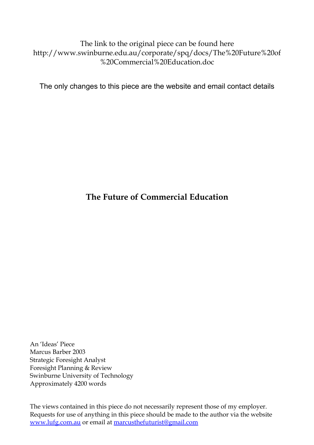The link to the original piece can be found here http://www.swinburne.edu.au/corporate/spq/docs/The%20Future%20of %20Commercial%20Education.doc

The only changes to this piece are the website and email contact details

# **The Future of Commercial Education**

An 'Ideas' Piece Marcus Barber 2003 Strategic Foresight Analyst Foresight Planning & Review Swinburne University of Technology Approximately 4200 words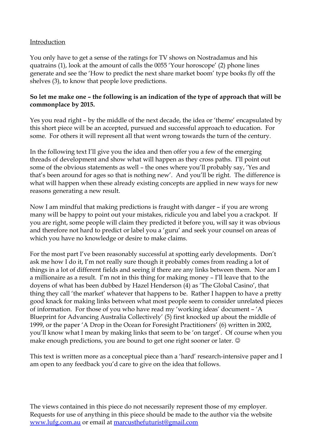#### Introduction

You only have to get a sense of the ratings for TV shows on Nostradamus and his quatrains (1), look at the amount of calls the 0055 'Your horoscope' (2) phone lines generate and see the 'How to predict the next share market boom' type books fly off the shelves (3), to know that people love predictions.

#### **So let me make one – the following is an indication of the type of approach that will be commonplace by 2015.**

Yes you read right – by the middle of the next decade, the idea or 'theme' encapsulated by this short piece will be an accepted, pursued and successful approach to education. For some. For others it will represent all that went wrong towards the turn of the century.

In the following text I'll give you the idea and then offer you a few of the emerging threads of development and show what will happen as they cross paths. I'll point out some of the obvious statements as well – the ones where you'll probably say, 'Yes and that's been around for ages so that is nothing new'. And you'll be right. The difference is what will happen when these already existing concepts are applied in new ways for new reasons generating a new result.

Now I am mindful that making predictions is fraught with danger – if you are wrong many will be happy to point out your mistakes, ridicule you and label you a crackpot. If you are right, some people will claim they predicted it before you, will say it was obvious and therefore not hard to predict or label you a 'guru' and seek your counsel on areas of which you have no knowledge or desire to make claims.

For the most part I've been reasonably successful at spotting early developments. Don't ask me how I do it, I'm not really sure though it probably comes from reading a lot of things in a lot of different fields and seeing if there are any links between them. Nor am I a millionaire as a result. I'm not in this thing for making money – I'll leave that to the doyens of what has been dubbed by Hazel Henderson (4) as 'The Global Casino', that thing they call 'the market' whatever that happens to be. Rather I happen to have a pretty good knack for making links between what most people seem to consider unrelated pieces of information. For those of you who have read my 'working ideas' document – 'A Blueprint for Advancing Australia Collectively' (5) first knocked up about the middle of 1999, or the paper 'A Drop in the Ocean for Foresight Practitioners' (6) written in 2002, you'll know what I mean by making links that seem to be 'on target'. Of course when you make enough predictions, you are bound to get one right sooner or later.  $\odot$ 

This text is written more as a conceptual piece than a 'hard' research-intensive paper and I am open to any feedback you'd care to give on the idea that follows.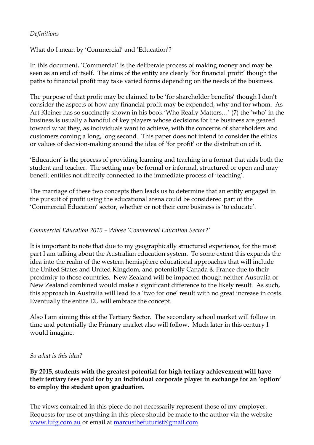#### *Definitions*

What do I mean by 'Commercial' and 'Education'?

In this document, 'Commercial' is the deliberate process of making money and may be seen as an end of itself. The aims of the entity are clearly 'for financial profit' though the paths to financial profit may take varied forms depending on the needs of the business.

The purpose of that profit may be claimed to be 'for shareholder benefits' though I don't consider the aspects of how any financial profit may be expended, why and for whom. As Art Kleiner has so succinctly shown in his book 'Who Really Matters…' (7) the 'who' in the business is usually a handful of key players whose decisions for the business are geared toward what they, as individuals want to achieve, with the concerns of shareholders and customers coming a long, long second. This paper does not intend to consider the ethics or values of decision-making around the idea of 'for profit' or the distribution of it.

'Education' is the process of providing learning and teaching in a format that aids both the student and teacher. The setting may be formal or informal, structured or open and may benefit entities not directly connected to the immediate process of 'teaching'.

The marriage of these two concepts then leads us to determine that an entity engaged in the pursuit of profit using the educational arena could be considered part of the 'Commercial Education' sector, whether or not their core business is 'to educate'.

#### *Commercial Education 2015 – Whose 'Commercial Education Sector?'*

It is important to note that due to my geographically structured experience, for the most part I am talking about the Australian education system. To some extent this expands the idea into the realm of the western hemisphere educational approaches that will include the United States and United Kingdom, and potentially Canada & France due to their proximity to those countries. New Zealand will be impacted though neither Australia or New Zealand combined would make a significant difference to the likely result. As such, this approach in Australia will lead to a 'two for one' result with no great increase in costs. Eventually the entire EU will embrace the concept.

Also I am aiming this at the Tertiary Sector. The secondary school market will follow in time and potentially the Primary market also will follow. Much later in this century I would imagine.

#### *So what is this idea?*

### **By 2015, students with the greatest potential for high tertiary achievement will have their tertiary fees paid for by an individual corporate player in exchange for an 'option' to employ the student upon graduation.**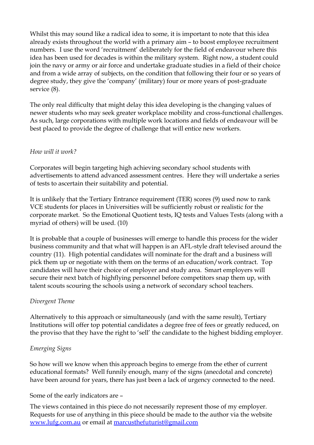Whilst this may sound like a radical idea to some, it is important to note that this idea already exists throughout the world with a primary aim – to boost employee recruitment numbers. I use the word 'recruitment' deliberately for the field of endeavour where this idea has been used for decades is within the military system. Right now, a student could join the navy or army or air force and undertake graduate studies in a field of their choice and from a wide array of subjects, on the condition that following their four or so years of degree study, they give the 'company' (military) four or more years of post-graduate service (8).

The only real difficulty that might delay this idea developing is the changing values of newer students who may seek greater workplace mobility and cross-functional challenges. As such, large corporations with multiple work locations and fields of endeavour will be best placed to provide the degree of challenge that will entice new workers.

#### *How will it work?*

Corporates will begin targeting high achieving secondary school students with advertisements to attend advanced assessment centres. Here they will undertake a series of tests to ascertain their suitability and potential.

It is unlikely that the Tertiary Entrance requirement (TER) scores (9) used now to rank VCE students for places in Universities will be sufficiently robust or realistic for the corporate market. So the Emotional Quotient tests, IQ tests and Values Tests (along with a myriad of others) will be used. (10)

It is probable that a couple of businesses will emerge to handle this process for the wider business community and that what will happen is an AFL-style draft televised around the country (11). High potential candidates will nominate for the draft and a business will pick them up or negotiate with them on the terms of an education/work contract. Top candidates will have their choice of employer and study area. Smart employers will secure their next batch of highflying personnel before competitors snap them up, with talent scouts scouring the schools using a network of secondary school teachers.

## *Divergent Theme*

Alternatively to this approach or simultaneously (and with the same result), Tertiary Institutions will offer top potential candidates a degree free of fees or greatly reduced, on the proviso that they have the right to 'sell' the candidate to the highest bidding employer.

## *Emerging Signs*

So how will we know when this approach begins to emerge from the ether of current educational formats? Well funnily enough, many of the signs (anecdotal and concrete) have been around for years, there has just been a lack of urgency connected to the need.

#### Some of the early indicators are –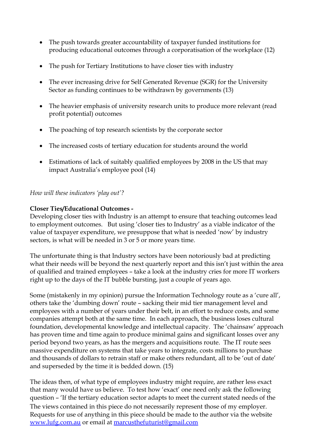- The push towards greater accountability of taxpayer funded institutions for producing educational outcomes through a corporatisation of the workplace (12)
- The push for Tertiary Institutions to have closer ties with industry
- The ever increasing drive for Self Generated Revenue (SGR) for the University Sector as funding continues to be withdrawn by governments (13)
- The heavier emphasis of university research units to produce more relevant (read profit potential) outcomes
- The poaching of top research scientists by the corporate sector
- The increased costs of tertiary education for students around the world
- Estimations of lack of suitably qualified employees by 2008 in the US that may impact Australia's employee pool (14)

*How will these indicators 'play out'?*

### **Closer Ties/Educational Outcomes -**

Developing closer ties with Industry is an attempt to ensure that teaching outcomes lead to employment outcomes. But using 'closer ties to Industry' as a viable indicator of the value of taxpayer expenditure, we presuppose that what is needed 'now' by industry sectors, is what will be needed in 3 or 5 or more years time.

The unfortunate thing is that Industry sectors have been notoriously bad at predicting what their needs will be beyond the next quarterly report and this isn't just within the area of qualified and trained employees – take a look at the industry cries for more IT workers right up to the days of the IT bubble bursting, just a couple of years ago.

Some (mistakenly in my opinion) pursue the Information Technology route as a 'cure all', others take the 'dumbing down' route – sacking their mid tier management level and employees with a number of years under their belt, in an effort to reduce costs, and some companies attempt both at the same time. In each approach, the business loses cultural foundation, developmental knowledge and intellectual capacity. The 'chainsaw' approach has proven time and time again to produce minimal gains and significant losses over any period beyond two years, as has the mergers and acquisitions route. The IT route sees massive expenditure on systems that take years to integrate, costs millions to purchase and thousands of dollars to retrain staff or make others redundant, all to be 'out of date' and superseded by the time it is bedded down. (15)

The ideas then, of what type of employees industry might require, are rather less exact that many would have us believe. To test how 'exact' one need only ask the following question – 'If the tertiary education sector adapts to meet the current stated needs of the The views contained in this piece do not necessarily represent those of my employer. Requests for use of anything in this piece should be made to the author via the website [www.lufg.com.au](http://www.lufg.com.au/) or email at [marcusthefuturist@gmail.com](mailto:marcusthefuturist@gmail.com.au)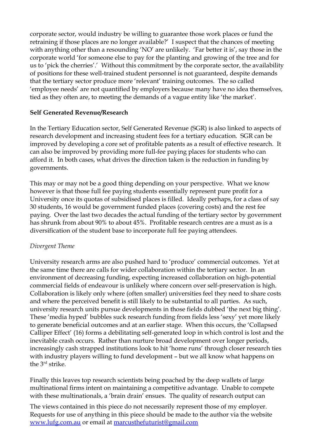corporate sector, would industry be willing to guarantee those work places or fund the retraining if those places are no longer available?' I suspect that the chances of meeting with anything other than a resounding 'NO' are unlikely. 'Far better it is', say those in the corporate world 'for someone else to pay for the planting and growing of the tree and for us to 'pick the cherries'.' Without this commitment by the corporate sector, the availability of positions for these well-trained student personnel is not guaranteed, despite demands that the tertiary sector produce more 'relevant' training outcomes. The so called 'employee needs' are not quantified by employers because many have no idea themselves, tied as they often are, to meeting the demands of a vague entity like 'the market'.

#### **Self Generated Revenue/Research**

In the Tertiary Education sector, Self Generated Revenue (SGR) is also linked to aspects of research development and increasing student fees for a tertiary education. SGR can be improved by developing a core set of profitable patents as a result of effective research. It can also be improved by providing more full-fee paying places for students who can afford it. In both cases, what drives the direction taken is the reduction in funding by governments.

This may or may not be a good thing depending on your perspective. What we know however is that those full fee paying students essentially represent pure profit for a University once its quotas of subsidised places is filled. Ideally perhaps, for a class of say 30 students, 16 would be government funded places (covering costs) and the rest fee paying. Over the last two decades the actual funding of the tertiary sector by government has shrunk from about 90% to about 45%. Profitable research centres are a must as is a diversification of the student base to incorporate full fee paying attendees.

#### *Divergent Theme*

University research arms are also pushed hard to 'produce' commercial outcomes. Yet at the same time there are calls for wider collaboration within the tertiary sector. In an environment of decreasing funding, expecting increased collaboration on high-potential commercial fields of endeavour is unlikely where concern over self-preservation is high. Collaboration is likely only where (often smaller) universities feel they need to share costs and where the perceived benefit is still likely to be substantial to all parties. As such, university research units pursue developments in those fields dubbed 'the next big thing'. These 'media hyped' bubbles suck research funding from fields less 'sexy' yet more likely to generate beneficial outcomes and at an earlier stage. When this occurs, the 'Collapsed Calliper Effect' (16) forms a debilitating self-generated loop in which control is lost and the inevitable crash occurs. Rather than nurture broad development over longer periods, increasingly cash strapped institutions look to hit 'home runs' through closer research ties with industry players willing to fund development – but we all know what happens on the 3<sup>rd</sup> strike.

Finally this leaves top research scientists being poached by the deep wallets of large multinational firms intent on maintaining a competitive advantage. Unable to compete with these multinationals, a 'brain drain' ensues. The quality of research output can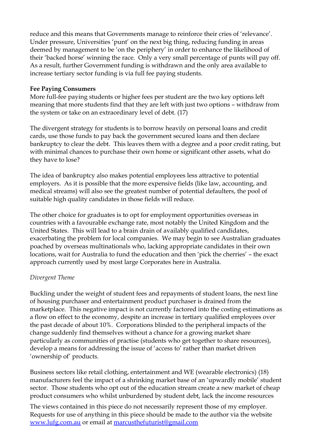reduce and this means that Governments manage to reinforce their cries of 'relevance'. Under pressure, Universities 'punt' on the next big thing, reducing funding in areas deemed by management to be 'on the periphery' in order to enhance the likelihood of their 'backed horse' winning the race. Only a very small percentage of punts will pay off. As a result, further Government funding is withdrawn and the only area available to increase tertiary sector funding is via full fee paying students.

#### **Fee Paying Consumers**

More full-fee paying students or higher fees per student are the two key options left meaning that more students find that they are left with just two options – withdraw from the system or take on an extraordinary level of debt. (17)

The divergent strategy for students is to borrow heavily on personal loans and credit cards, use those funds to pay back the government secured loans and then declare bankruptcy to clear the debt. This leaves them with a degree and a poor credit rating, but with minimal chances to purchase their own home or significant other assets, what do they have to lose?

The idea of bankruptcy also makes potential employees less attractive to potential employers. As it is possible that the more expensive fields (like law, accounting, and medical streams) will also see the greatest number of potential defaulters, the pool of suitable high quality candidates in those fields will reduce.

The other choice for graduates is to opt for employment opportunities overseas in countries with a favourable exchange rate, most notably the United Kingdom and the United States. This will lead to a brain drain of availably qualified candidates, exacerbating the problem for local companies. We may begin to see Australian graduates poached by overseas multinationals who, lacking appropriate candidates in their own locations, wait for Australia to fund the education and then 'pick the cherries' – the exact approach currently used by most large Corporates here in Australia.

#### *Divergent Theme*

Buckling under the weight of student fees and repayments of student loans, the next line of housing purchaser and entertainment product purchaser is drained from the marketplace. This negative impact is not currently factored into the costing estimations as a flow on effect to the economy, despite an increase in tertiary qualified employees over the past decade of about 10%. Corporations blinded to the peripheral impacts of the change suddenly find themselves without a chance for a growing market share particularly as communities of practise (students who get together to share resources), develop a means for addressing the issue of 'access to' rather than market driven 'ownership of' products.

Business sectors like retail clothing, entertainment and WE (wearable electronics) (18) manufacturers feel the impact of a shrinking market base of an 'upwardly mobile' student sector. Those students who opt out of the education stream create a new market of cheap product consumers who whilst unburdened by student debt, lack the income resources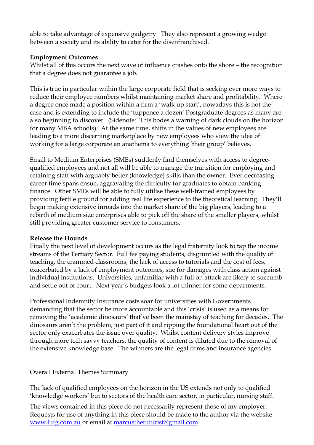able to take advantage of expensive gadgetry. They also represent a growing wedge between a society and its ability to cater for the disenfranchised.

#### **Employment Outcomes**

Whilst all of this occurs the next wave of influence crashes onto the shore – the recognition that a degree does not guarantee a job.

This is true in particular within the large corporate field that is seeking ever more ways to reduce their employee numbers whilst maintaining market share and profitability. Where a degree once made a position within a firm a 'walk up start', nowadays this is not the case and is extending to include the 'tuppence a dozen' Postgraduate degrees as many are also beginning to discover. (Sidenote: This bodes a warning of dark clouds on the horizon for many MBA schools). At the same time, shifts in the values of new employees are leading to a more discerning marketplace by new employees who view the idea of working for a large corporate an anathema to everything 'their group' believes.

Small to Medium Enterprises (SMEs) suddenly find themselves with access to degreequalified employees and not all will be able to manage the transition for employing and retaining staff with arguably better (knowledge) skills than the owner. Ever decreasing career time spans ensue, aggravating the difficulty for graduates to obtain banking finance. Other SMEs will be able to fully utilise these well-trained employees by providing fertile ground for adding real life experience to the theoretical learning. They'll begin making extensive inroads into the market share of the big players, leading to a rebirth of medium size enterprises able to pick off the share of the smaller players, whilst still providing greater customer service to consumers.

#### **Release the Hounds**

Finally the next level of development occurs as the legal fraternity look to tap the income streams of the Tertiary Sector. Full fee paying students, disgruntled with the quality of teaching, the crammed classrooms, the lack of access to tutorials and the cost of fees, exacerbated by a lack of employment outcomes, sue for damages with class action against individual institutions. Universities, unfamiliar with a full on attack are likely to succumb and settle out of court. Next year's budgets look a lot thinner for some departments.

Professional Indemnity Insurance costs soar for universities with Governments demanding that the sector be more accountable and this 'crisis' is used as a means for removing the 'academic dinosaurs' that've been the mainstay of teaching for decades. The dinosaurs aren't the problem, just part of it and ripping the foundational heart out of the sector only exacerbates the issue over quality. Whilst content delivery styles improve through more tech savvy teachers, the quality of content is diluted due to the removal of the extensive knowledge base. The winners are the legal firms and insurance agencies.

## Overall External Themes Summary

The lack of qualified employees on the horizon in the US extends not only to qualified 'knowledge workers' but to sectors of the health care sector, in particular, nursing staff.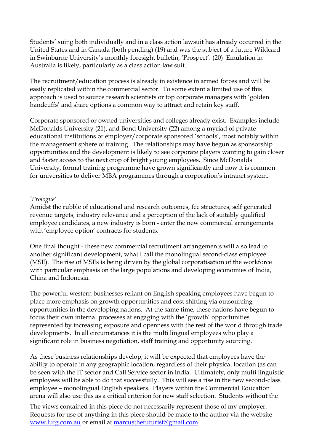Students' suing both individually and in a class action lawsuit has already occurred in the United States and in Canada (both pending) (19) and was the subject of a future Wildcard in Swinburne University's monthly foresight bulletin, 'Prospect'. (20) Emulation in Australia is likely, particularly as a class action law suit.

The recruitment/education process is already in existence in armed forces and will be easily replicated within the commercial sector. To some extent a limited use of this approach is used to source research scientists or top corporate managers with 'golden handcuffs' and share options a common way to attract and retain key staff.

Corporate sponsored or owned universities and colleges already exist. Examples include McDonalds University (21), and Bond University (22) among a myriad of private educational institutions or employer/corporate sponsored 'schools', most notably within the management sphere of training. The relationships may have begun as sponsorship opportunities and the development is likely to see corporate players wanting to gain closer and faster access to the next crop of bright young employees. Since McDonalds University, formal training programme have grown significantly and now it is common for universities to deliver MBA programmes through a corporation's intranet system.

#### *'Prologue'*

Amidst the rubble of educational and research outcomes, fee structures, self generated revenue targets, industry relevance and a perception of the lack of suitably qualified employee candidates, a new industry is born - enter the new commercial arrangements with 'employee option' contracts for students.

One final thought - these new commercial recruitment arrangements will also lead to another significant development, what I call the monolingual second-class employee (MSE). The rise of MSEs is being driven by the global corporatisation of the workforce with particular emphasis on the large populations and developing economies of India, China and Indonesia.

The powerful western businesses reliant on English speaking employees have begun to place more emphasis on growth opportunities and cost shifting via outsourcing opportunities in the developing nations. At the same time, these nations have begun to focus their own internal processes at engaging with the 'growth' opportunities represented by increasing exposure and openness with the rest of the world through trade developments. In all circumstances it is the multi lingual employees who play a significant role in business negotiation, staff training and opportunity sourcing.

As these business relationships develop, it will be expected that employees have the ability to operate in any geographic location, regardless of their physical location (as can be seen with the IT sector and Call Service sector in India. Ultimately, only multi linguistic employees will be able to do that successfully. This will see a rise in the new second-class employee – monolingual English speakers. Players within the Commercial Education arena will also use this as a critical criterion for new staff selection. Students without the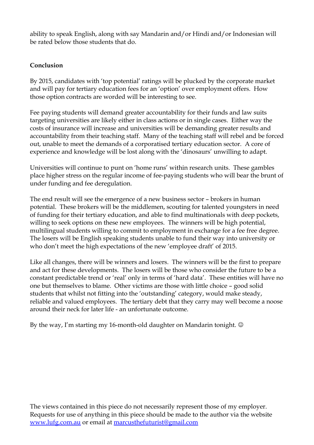ability to speak English, along with say Mandarin and/or Hindi and/or Indonesian will be rated below those students that do.

## **Conclusion**

By 2015, candidates with 'top potential' ratings will be plucked by the corporate market and will pay for tertiary education fees for an 'option' over employment offers. How those option contracts are worded will be interesting to see.

Fee paying students will demand greater accountability for their funds and law suits targeting universities are likely either in class actions or in single cases. Either way the costs of insurance will increase and universities will be demanding greater results and accountability from their teaching staff. Many of the teaching staff will rebel and be forced out, unable to meet the demands of a corporatised tertiary education sector. A core of experience and knowledge will be lost along with the 'dinosaurs' unwilling to adapt.

Universities will continue to punt on 'home runs' within research units. These gambles place higher stress on the regular income of fee-paying students who will bear the brunt of under funding and fee deregulation.

The end result will see the emergence of a new business sector – brokers in human potential. These brokers will be the middlemen, scouting for talented youngsters in need of funding for their tertiary education, and able to find multinationals with deep pockets, willing to seek options on these new employees. The winners will be high potential, multilingual students willing to commit to employment in exchange for a fee free degree. The losers will be English speaking students unable to fund their way into university or who don't meet the high expectations of the new 'employee draft' of 2015.

Like all changes, there will be winners and losers. The winners will be the first to prepare and act for these developments. The losers will be those who consider the future to be a constant predictable trend or 'real' only in terms of 'hard data'. These entities will have no one but themselves to blame. Other victims are those with little choice – good solid students that whilst not fitting into the 'outstanding' category, would make steady, reliable and valued employees. The tertiary debt that they carry may well become a noose around their neck for later life - an unfortunate outcome.

By the way, I'm starting my 16-month-old daughter on Mandarin tonight.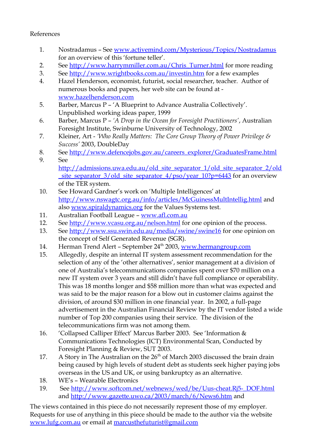#### References

- 1. Nostradamus See [www.activemind.com/Mysterious/Topics/Nostradamus](http://www.activemind.com/Mysterious/Topics/Nostradamus) for an overview of this 'fortune teller'.
- 2. See [http://www.harrymmiller.com.au/Chris\\_Turner.html](http://www.harrymmiller.com.au/Chris_Turner.html) for more reading
- 3. See<http://www.wrightbooks.com.au/investin.htm>for a few examples
- 4. Hazel Henderson, economist, futurist, social researcher, teacher. Author of numerous books and papers, her web site can be found at [www.hazelhenderson.com](http://www.hazelhenderson.com/)
- 5. Barber, Marcus P 'A Blueprint to Advance Australia Collectively'. Unpublished working ideas paper, 1999
- 6. Barber, Marcus P *'A Drop in the Ocean for Foresight Practitioners'*, Australian Foresight Institute, Swinburne University of Technology, 2002
- 7. Kleiner, Art *'Who Really Matters: The Core Group Theory of Power Privilege & Success'* 2003, DoubleDay
- 8. See [http://www.defencejobs.gov.au/careers\\_explorer/GraduatesFrame.html](http://www.defencejobs.gov.au/careers_explorer/GraduatesFrame.html)
- 9. See [http://admissions.uwa.edu.au/old\\_site\\_separator\\_1/old\\_site\\_separator\\_2/old](http://admissions.uwa.edu.au/old_site_separator_1/old_site_separator_2/old_site_separator_3/old_site_separator_4/pso/year_10?p=6443) site\_separator\_3/old\_site\_separator\_4/pso/year\_10?p=6443 for an overview of the TER system.
- 10. See Howard Gardner's work on 'Multiple Intelligences' at <http://www.nswagtc.org.au/info/articles/McGuinessMultIntellig.html>and also [www.spiraldynamics.org](http://www.spiraldynamics.org/) for the Values Systems test.
- 11. Australian Football League – [www.afl.com.au](http://www.afl.com.au/)
- 12. See<http://www.vcasu.org.au/nelson.html>for one opinion of the process.
- 13. See<http://www.ssu.swin.edu.au/media/swine/swine16>for one opinion on the concept of Self Generated Revenue (SGR).
- 14. Herman Trend Alert September 24<sup>th</sup> 2003, [www.hermangroup.com](http://www.hermangroup.com/)
- 15. Allegedly, despite an internal IT system assessment recommendation for the selection of any of the 'other alternatives', senior management at a division of one of Australia's telecommunications companies spent over \$70 million on a new IT system over 3 years and still didn't have full compliance or operability. This was 18 months longer and \$58 million more than what was expected and was said to be the major reason for a blow out in customer claims against the division, of around \$30 million in one financial year. In 2002, a full-page advertisement in the Australian Financial Review by the IT vendor listed a wide number of Top 200 companies using their service. The division of the telecommunications firm was not among them.
- 16. 'Collapsed Calliper Effect' Marcus Barber 2003. See 'Information & Communications Technologies (ICT) Environmental Scan, Conducted by Foresight Planning & Review, SUT 2003.
- 17. A Story in The Australian on the  $26<sup>th</sup>$  of March 2003 discussed the brain drain being caused by high levels of student debt as students seek higher paying jobs overseas in the US and UK, or using bankruptcy as an alternative.
- 18. WE's Wearable Electronics
- 19. See [http://www.softcom.net/webnews/wed/be/Uus-cheat.Rj5-\\_DOF.html](http://www.softcom.net/webnews/wed/be/Uus-cheat.Rj5-_DOF.html) and<http://www.gazette.uwo.ca/2003/march/6/News6.htm>and